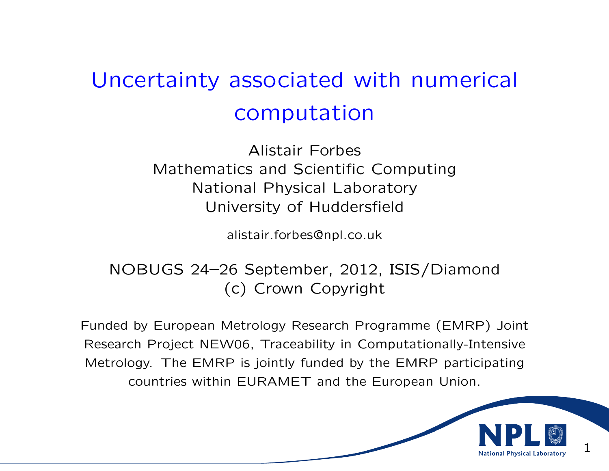# Uncertainty associated with numerical computation

Alistair Forbes Mathematics and Scientific Computing National Physical Laboratory University of Huddersfield

alistair.forbes@npl.co.uk

# NOBUGS 24–26 September, 2012, ISIS/Diamond (c) Crown Copyright

Funded by European Metrology Research Programme (EMRP) Joint Research Project NEW06, Traceability in Computationally-Intensive Metrology. The EMRP is jointly funded by the EMRP participating countries within EURAMET and the European Union.

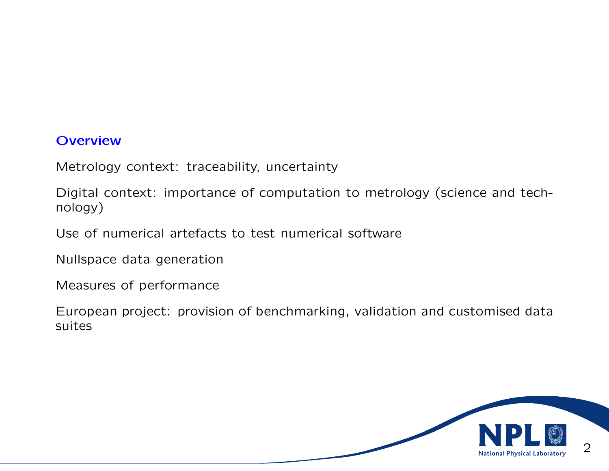#### **Overview**

Metrology context: traceability, uncertainty

Digital context: importance of computation to metrology (science and technology)

Use of numerical artefacts to test numerical software

Nullspace data generation

Measures of performance

European project: provision of benchmarking, validation and customised data suites

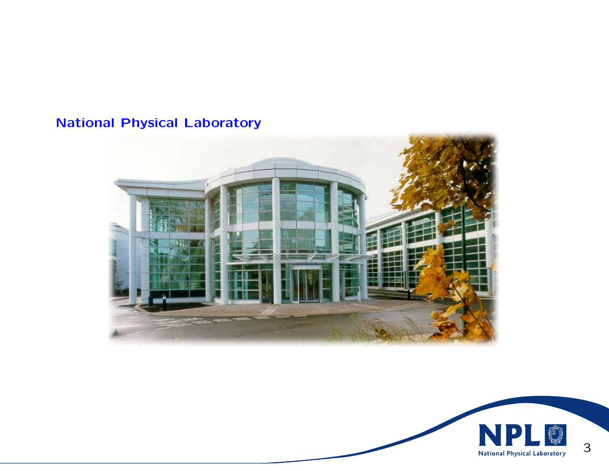# National Physical Laboratory



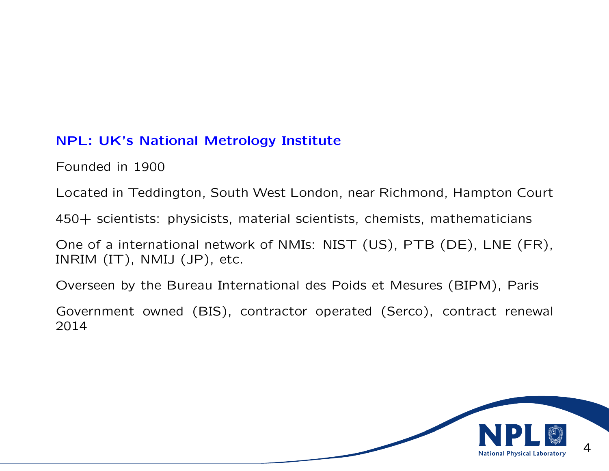## NPL: UK's National Metrology Institute

Founded in 1900

Located in Teddington, South West London, near Richmond, Hampton Court

450+ scientists: physicists, material scientists, chemists, mathematicians

One of a international network of NMIs: NIST (US), PTB (DE), LNE (FR), INRIM (IT), NMIJ (JP), etc.

Overseen by the Bureau International des Poids et Mesures (BIPM), Paris

Government owned (BIS), contractor operated (Serco), contract renewal 2014

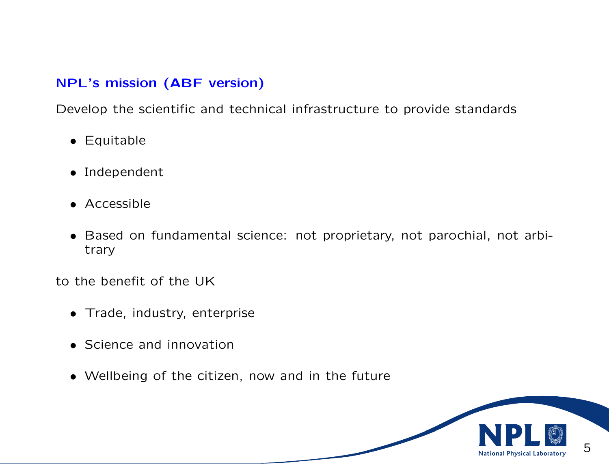## NPL's mission (ABF version)

Develop the scientific and technical infrastructure to provide standards

- Equitable
- Independent
- Accessible
- Based on fundamental science: not proprietary, not parochial, not arbitrary

to the benefit of the UK

- Trade, industry, enterprise
- Science and innovation
- Wellbeing of the citizen, now and in the future

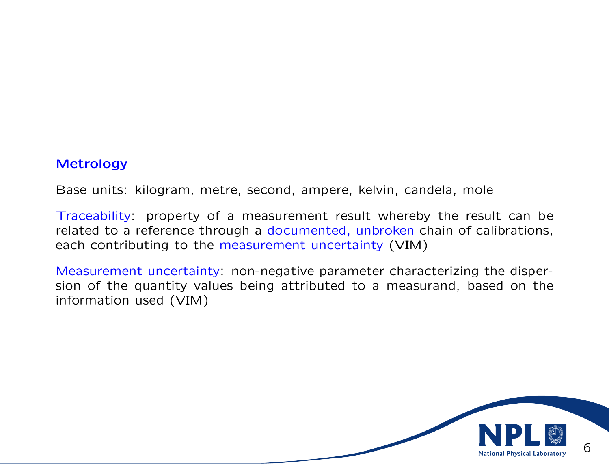#### Metrology

Base units: kilogram, metre, second, ampere, kelvin, candela, mole

Traceability: property of a measurement result whereby the result can be related to a reference through a documented, unbroken chain of calibrations, each contributing to the measurement uncertainty (VIM)

Measurement uncertainty: non-negative parameter characterizing the dispersion of the quantity values being attributed to a measurand, based on the information used (VIM)

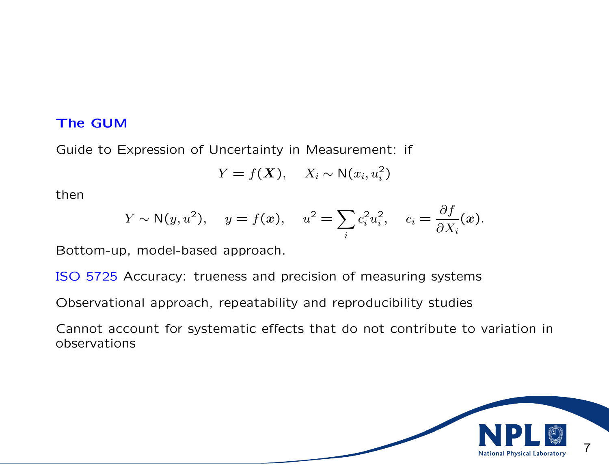#### The GUM

Guide to Expression of Uncertainty in Measurement: if

$$
Y = f(\mathbf{X}), \quad X_i \sim \mathsf{N}(x_i, u_i^2)
$$

then

$$
Y \sim \mathsf{N}(y, u^2), \quad y = f(x), \quad u^2 = \sum_i c_i^2 u_i^2, \quad c_i = \frac{\partial f}{\partial X_i}(x).
$$

Bottom-up, model-based approach.

ISO 5725 Accuracy: trueness and precision of measuring systems

Observational approach, repeatability and reproducibility studies

Cannot account for systematic effects that do not contribute to variation in observations

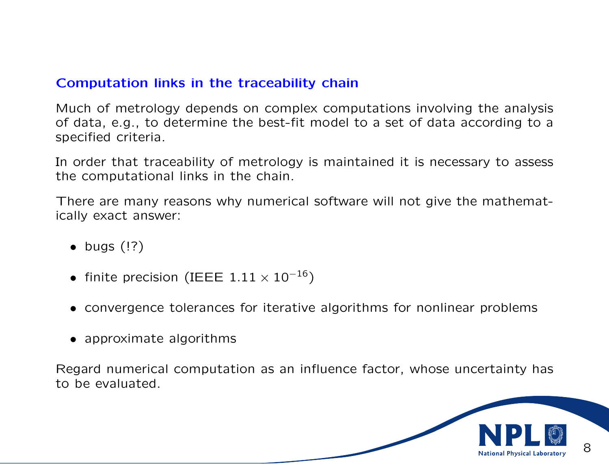## Computation links in the traceability chain

Much of metrology depends on complex computations involving the analysis of data, e.g., to determine the best-fit model to a set of data according to a specified criteria.

In order that traceability of metrology is maintained it is necessary to assess the computational links in the chain.

There are many reasons why numerical software will not give the mathematically exact answer:

- $\bullet$  bugs  $($ !? $)$
- finite precision (IEEE  $1.11 \times 10^{-16}$ )
- convergence tolerances for iterative algorithms for nonlinear problems
- approximate algorithms

Regard numerical computation as an influence factor, whose uncertainty has to be evaluated.

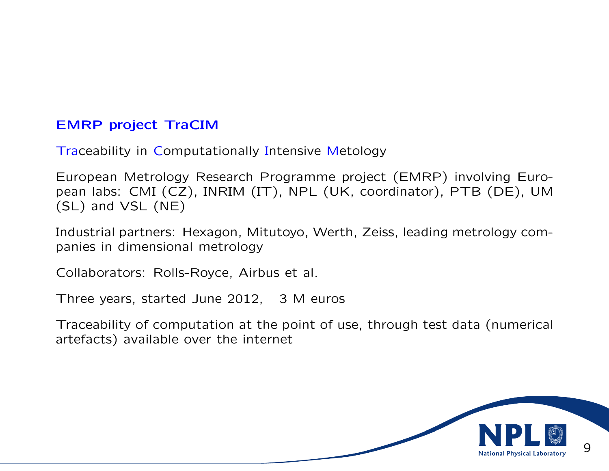## EMRP project TraCIM

Traceability in Computationally Intensive Metology

European Metrology Research Programme project (EMRP) involving European labs: CMI (CZ), INRIM (IT), NPL (UK, coordinator), PTB (DE), UM (SL) and VSL (NE)

Industrial partners: Hexagon, Mitutoyo, Werth, Zeiss, leading metrology companies in dimensional metrology

Collaborators: Rolls-Royce, Airbus et al.

Three years, started June 2012, 3 M euros

Traceability of computation at the point of use, through test data (numerical artefacts) available over the internet

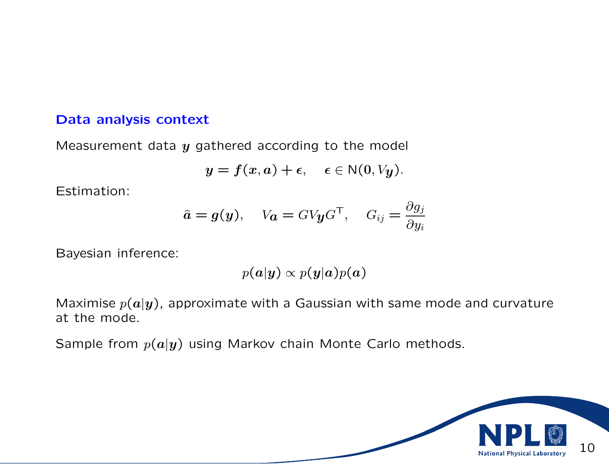#### Data analysis context

Measurement data  $y$  gathered according to the model

$$
y = f(x, a) + \epsilon, \quad \epsilon \in N(0, V_y).
$$

Estimation:

$$
\hat{\mathbf{a}} = \mathbf{g}(\mathbf{y}), \quad V_{\mathbf{a}} = G V_{\mathbf{y}} G^{\mathsf{T}}, \quad G_{ij} = \frac{\partial g_j}{\partial y_i}
$$

Bayesian inference:

$$
p(\bm{a}|\bm{y}) \propto p(\bm{y}|\bm{a})p(\bm{a})
$$

Maximise  $p(a|y)$ , approximate with a Gaussian with same mode and curvature at the mode.

Sample from  $p(a|y)$  using Markov chain Monte Carlo methods.

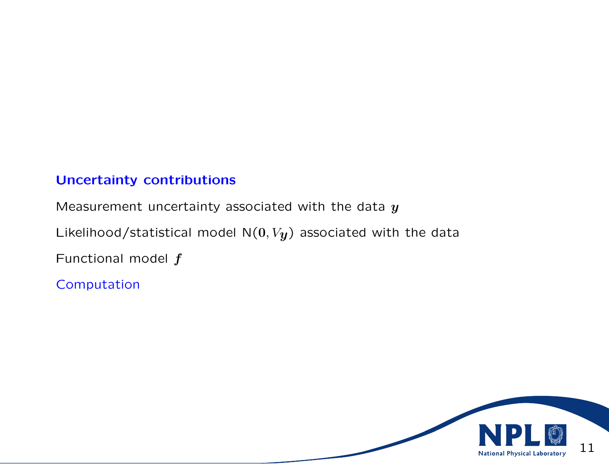# Uncertainty contributions

Measurement uncertainty associated with the data  $y$ Likelihood/statistical model  $N(0, V_y)$  associated with the data Functional model  $f$ 

Computation

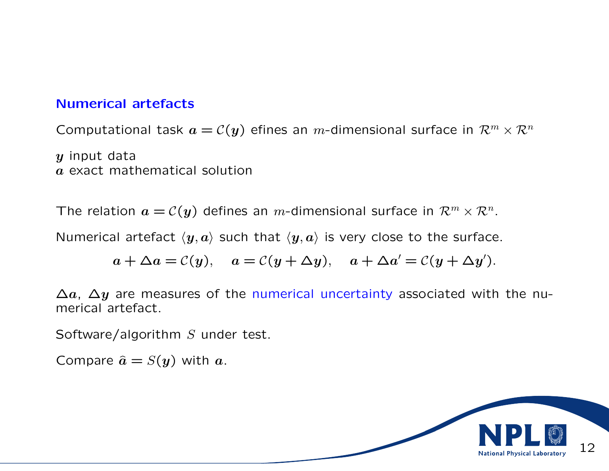## Numerical artefacts

Computational task  $a = \mathcal{C}(y)$  efines an m-dimensional surface in  $\mathcal{R}^m \times \mathcal{R}^n$ 

 $y$  input data a exact mathematical solution

The relation  $a = \mathcal{C}(y)$  defines an m-dimensional surface in  $\mathcal{R}^m \times \mathcal{R}^n$ .

Numerical artefact  $\langle y, a \rangle$  such that  $\langle y, a \rangle$  is very close to the surface.

$$
a + \Delta a = C(y),
$$
  $a = C(y + \Delta y),$   $a + \Delta a' = C(y + \Delta y').$ 

 $\Delta a$ ,  $\Delta y$  are measures of the numerical uncertainty associated with the numerical artefact.

Software/algorithm S under test.

Compare  $\hat{a} = S(y)$  with a.

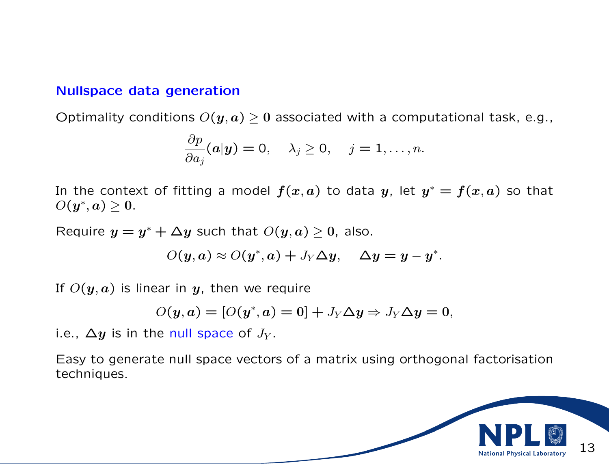#### Nullspace data generation

Optimality conditions  $O(y, a) \geq 0$  associated with a computational task, e.g.,

$$
\frac{\partial p}{\partial a_j}(a|y) = 0, \quad \lambda_j \geq 0, \quad j = 1, \ldots, n.
$$

In the context of fitting a model  $f(x,a)$  to data  $y$ , let  $y^{\ast}=f(x,a)$  so that  $O(y^*,a)\geq 0.$ 

Require  $y = y^* + \Delta y$  such that  $O(y, a) \geq 0$ , also.

$$
O(y,a) \approx O(y^*,a) + J_Y \Delta y, \quad \Delta y = y - y^*.
$$

If  $O(y, a)$  is linear in y, then we require

$$
O(y, a) = [O(y^*, a) = 0] + J_Y \Delta y \Rightarrow J_Y \Delta y = 0,
$$

i.e.,  $\Delta y$  is in the null space of  $J_y$ .

Easy to generate null space vectors of a matrix using orthogonal factorisation techniques.

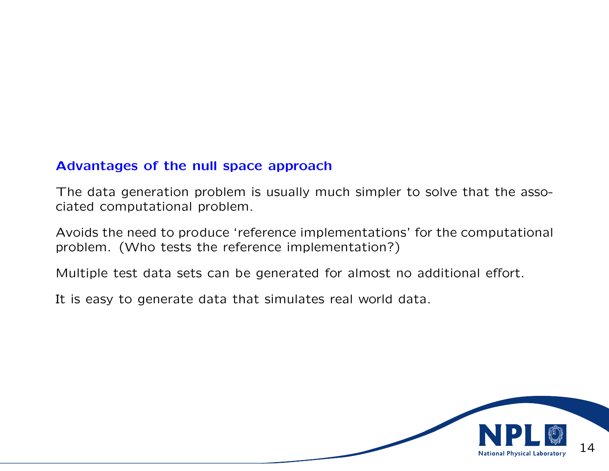## Advantages of the null space approach

The data generation problem is usually much simpler to solve that the associated computational problem.

Avoids the need to produce 'reference implementations' for the computational problem. (Who tests the reference implementation?)

Multiple test data sets can be generated for almost no additional effort.

It is easy to generate data that simulates real world data.

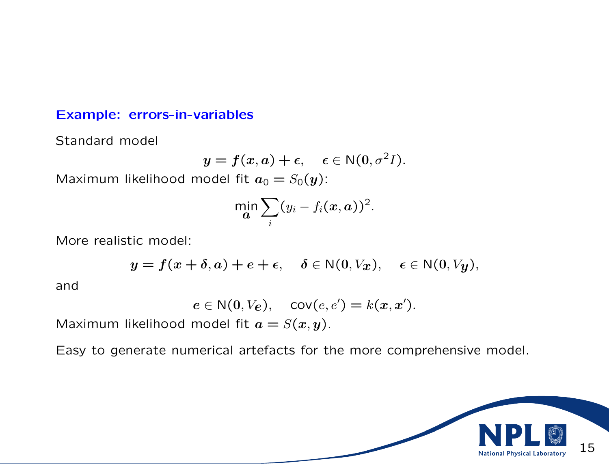#### Example: errors-in-variables

Standard model

$$
y = f(x, a) + \epsilon, \quad \epsilon \in N(0, \sigma^2 I).
$$

Maximum likelihood model fit  $a_0 = S_0(y)$ :

$$
\min_{\bm{a}} \sum_i (y_i - f_i(\bm{x}, \bm{a}))^2.
$$

More realistic model:

$$
y = f(x + \delta, a) + e + \epsilon, \quad \delta \in \mathbb{N}(0, V_x), \quad \epsilon \in \mathbb{N}(0, V_y),
$$

and

$$
e \in \mathsf{N}(0, V_e), \quad \text{cov}(e, e') = k(x, x').
$$

Maximum likelihood model fit  $a = S(x, y)$ .

Easy to generate numerical artefacts for the more comprehensive model.

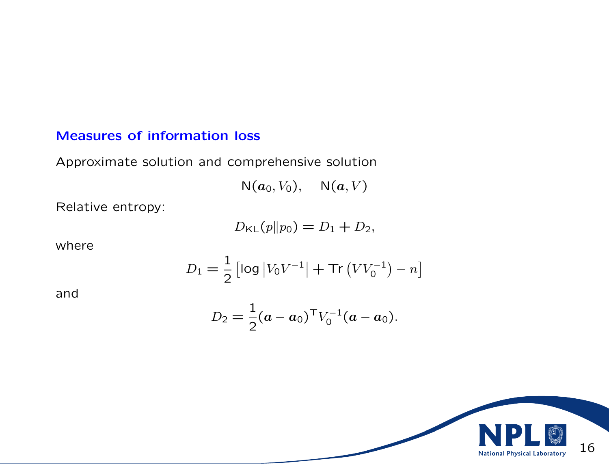# Measures of information loss

Approximate solution and comprehensive solution

$$
\mathsf{N}(a_0, V_0), \quad \mathsf{N}(a, V)
$$

Relative entropy:

$$
D_{\mathsf{KL}}(p||p_0) = D_1 + D_2,
$$

where

$$
D_1 = \frac{1}{2} \left[ \log |V_0 V^{-1}| + \text{Tr} (V V_0^{-1}) - n \right]
$$

and

$$
D_2 = \frac{1}{2}(a - a_0)^{\mathsf{T}} V_0^{-1}(a - a_0).
$$

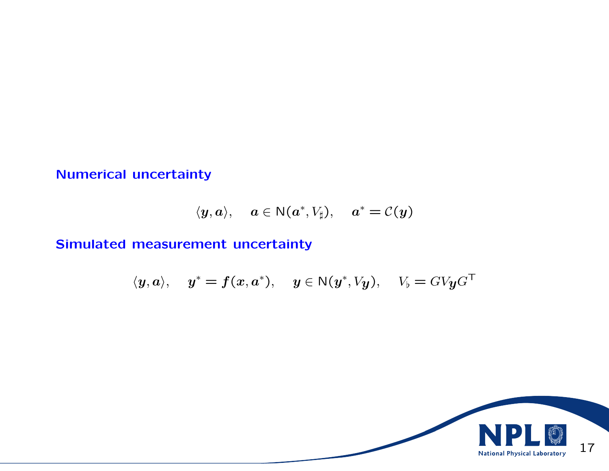# Numerical uncertainty

$$
\langle y, a \rangle, \quad a \in \mathsf{N}(a^*, V_{\sharp}), \quad a^* = \mathcal{C}(y)
$$

# Simulated measurement uncertainty

$$
\langle y, a \rangle, \quad y^* = f(x, a^*), \quad y \in N(y^*, V_y), \quad V_b = G V y G^{\top}
$$

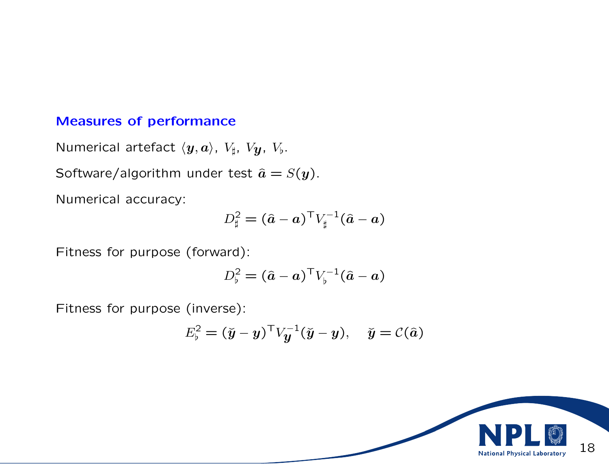## Measures of performance

Numerical artefact  $\langle y, a \rangle$ ,  $V_{\sharp}$ ,  $V_{\mathbf{y}}$ ,  $V_{\flat}$ .

Software/algorithm under test  $\hat{a} = S(y)$ .

Numerical accuracy:

$$
D_{\sharp}^2 = (\hat{a} - a)^{\top} V_{\sharp}^{-1} (\hat{a} - a)
$$

Fitness for purpose (forward):

$$
D_{\flat}^2 = (\hat{a} - a)^{\top} V_{\flat}^{-1} (\hat{a} - a)
$$

Fitness for purpose (inverse):

$$
E_{\flat}^2 = (\check{y} - y)^{\top} V_{\check{y}}^{-1} (\check{y} - y), \quad \check{y} = \mathcal{C}(\hat{a})
$$

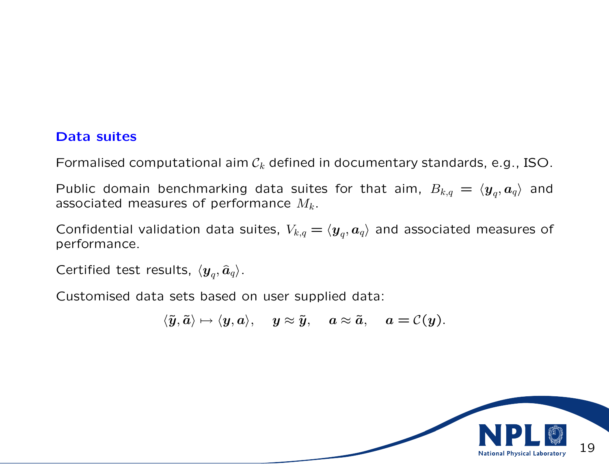## Data suites

Formalised computational aim  $\mathcal{C}_k$  defined in documentary standards, e.g., ISO.

Public domain benchmarking data suites for that aim,  $B_{k,q} \,=\, \langle \bm{y}_q, \bm{a}_q \rangle$  and associated measures of performance  $M_k$ .

Confidential validation data suites,  $V_{k,q} = \langle \bm{y}_q, \bm{a}_q \rangle$  and associated measures of performance.

Certified test results,  $\langle \boldsymbol{y}_q, \widehat{\boldsymbol{a}}_q \rangle$ .

Customised data sets based on user supplied data:

$$
\langle \tilde{\pmb{y}}, \tilde{\pmb{a}} \rangle \mapsto \langle \pmb{y}, \pmb{a} \rangle, \quad \pmb{y} \approx \tilde{\pmb{y}}, \quad \pmb{a} \approx \tilde{\pmb{a}}, \quad \pmb{a} = \mathcal{C}(\pmb{y}).
$$

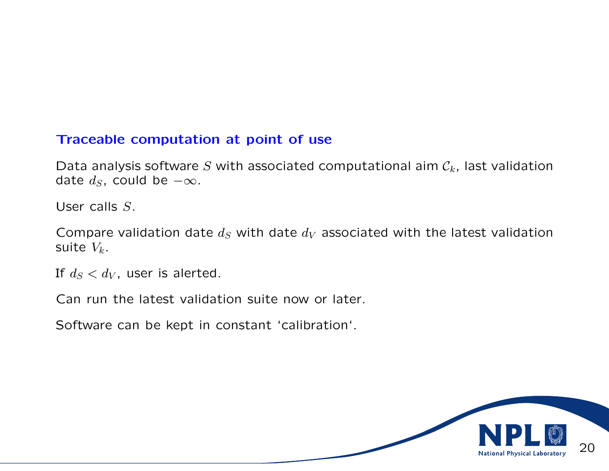## Traceable computation at point of use

Data analysis software S with associated computational aim  $C_k$ , last validation date  $d_S$ , could be  $-\infty$ .

User calls S.

Compare validation date  $d_S$  with date  $d_V$  associated with the latest validation suite  $V_k$ .

If  $d_S < d_V$ , user is alerted.

Can run the latest validation suite now or later.

Software can be kept in constant 'calibration'.

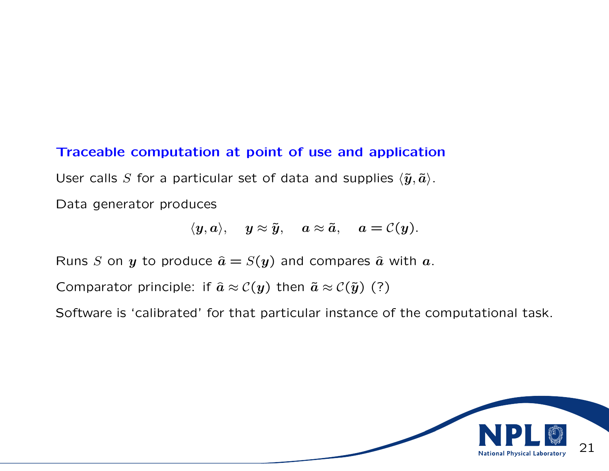#### Traceable computation at point of use and application

User calls S for a particular set of data and supplies  $\langle \tilde{\pmb{y}}, \tilde{\pmb{a}} \rangle$ .

Data generator produces

$$
\langle \boldsymbol{y}, \boldsymbol{a} \rangle, \quad \boldsymbol{y} \approx \tilde{\boldsymbol{y}}, \quad \boldsymbol{a} \approx \tilde{\boldsymbol{a}}, \quad \boldsymbol{a} = \mathcal{C}(\boldsymbol{y}).
$$

Runs S on y to produce  $\hat{a} = S(y)$  and compares  $\hat{a}$  with a.

Comparator principle: if  $\hat{a} \approx C(y)$  then  $\tilde{a} \approx C(\tilde{y})$  (?)

Software is 'calibrated' for that particular instance of the computational task.